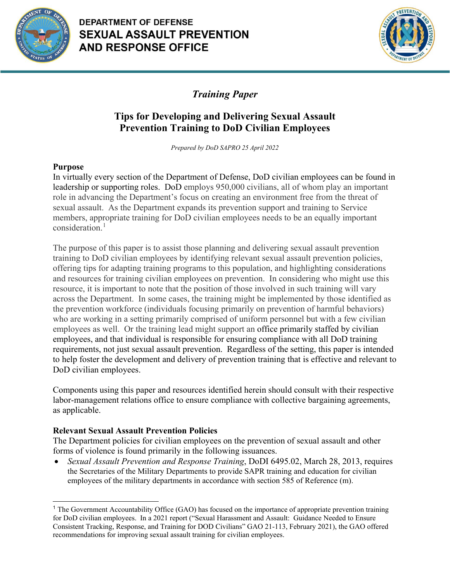

# **DEPARTMENT OF DEFENSE SEXUAL ASSAULT PREVENTION AND RESPONSE OFFICE**



*Training Paper*

# **Tips for Developing and Delivering Sexual Assault Prevention Training to DoD Civilian Employees**

*Prepared by DoD SAPRO 25 April 2022*

## **Purpose**

In virtually every section of the Department of Defense, DoD civilian employees can be found in leadership or supporting roles. DoD employs 950,000 civilians, all of whom play an important role in advancing the Department's focus on creating an environment free from the threat of sexual assault. As the Department expands its prevention support and training to Service members, appropriate training for DoD civilian employees needs to be an equally important consideration.<sup>[1](#page-0-0)</sup>

The purpose of this paper is to assist those planning and delivering sexual assault prevention training to DoD civilian employees by identifying relevant sexual assault prevention policies, offering tips for adapting training programs to this population, and highlighting considerations and resources for training civilian employees on prevention. In considering who might use this resource, it is important to note that the position of those involved in such training will vary across the Department. In some cases, the training might be implemented by those identified as the prevention workforce (individuals focusing primarily on prevention of harmful behaviors) who are working in a setting primarily comprised of uniform personnel but with a few civilian employees as well. Or the training lead might support an office primarily staffed by civilian employees, and that individual is responsible for ensuring compliance with all DoD training requirements, not just sexual assault prevention. Regardless of the setting, this paper is intended to help foster the development and delivery of prevention training that is effective and relevant to DoD civilian employees.

Components using this paper and resources identified herein should consult with their respective labor-management relations office to ensure compliance with collective bargaining agreements, as applicable.

## **Relevant Sexual Assault Prevention Policies**

The Department policies for civilian employees on the prevention of sexual assault and other forms of violence is found primarily in the following issuances.

• *Sexual Assault Prevention and Response Training*, DoDI 6495.02, March 28, 2013, requires the Secretaries of the Military Departments to provide SAPR training and education for civilian employees of the military departments in accordance with section 585 of Reference (m).

<span id="page-0-0"></span><sup>&</sup>lt;sup>1</sup> The Government Accountability Office (GAO) has focused on the importance of appropriate prevention training for DoD civilian employees. In a 2021 report ("Sexual Harassment and Assault: Guidance Needed to Ensure Consistent Tracking, Response, and Training for DOD Civilians" GAO 21-113, February 2021), the GAO offered recommendations for improving sexual assault training for civilian employees.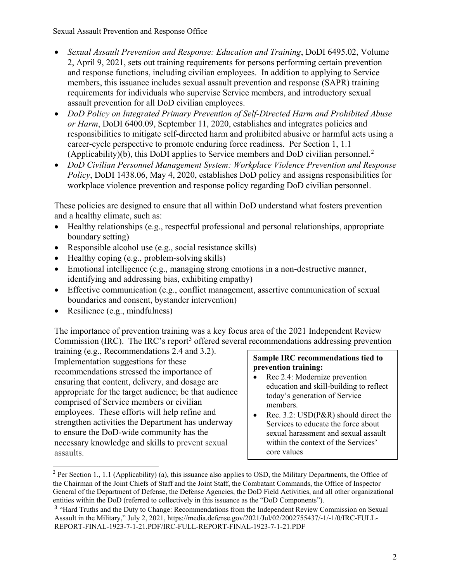Sexual Assault Prevention and Response Office

- *Sexual Assault Prevention and Response: Education and Training*, DoDI 6495.02, Volume 2, April 9, 2021, sets out training requirements for persons performing certain prevention and response functions, including civilian employees. In addition to applying to Service members, this issuance includes sexual assault prevention and response (SAPR) training requirements for individuals who supervise Service members, and introductory sexual assault prevention for all DoD civilian employees.
- *DoD Policy on Integrated Primary Prevention of Self-Directed Harm and Prohibited Abuse or Harm*, DoDI 6400.09, September 11, 2020, establishes and integrates policies and responsibilities to mitigate self-directed harm and prohibited abusive or harmful acts using a career-cycle perspective to promote enduring force readiness. Per Section 1, 1.1 (Applicability)(b), this DoDI applies to Service members and DoD civilian personnel.<sup>[2](#page-1-0)</sup>
- *DoD Civilian Personnel Management System: Workplace Violence Prevention and Response Policy*, DoDI 1438.06, May 4, 2020, establishes DoD policy and assigns responsibilities for workplace violence prevention and response policy regarding DoD civilian personnel.

These policies are designed to ensure that all within DoD understand what fosters prevention and a healthy climate, such as:

- Healthy relationships (e.g., respectful professional and personal relationships, appropriate boundary setting)
- Responsible alcohol use (e.g., social resistance skills)
- Healthy coping (e.g., problem-solving skills)
- Emotional intelligence (e.g., managing strong emotions in a non-destructive manner, identifying and addressing bias, exhibiting empathy)
- Effective communication (e.g., conflict management, assertive communication of sexual boundaries and consent, bystander intervention)
- Resilience (e.g., mindfulness)

 $\ddot{\phantom{a}}$ 

The importance of prevention training was a key focus area of the 2021 Independent Review Commission (IRC). The IRC's report<sup>[3](#page-1-1)</sup> offered several recommendations addressing prevention

training (e.g., Recommendations 2.4 and 3.2). Implementation suggestions for these recommendations stressed the importance of ensuring that content, delivery, and dosage are appropriate for the target audience; be that audience comprised of Service members or civilian employees. These efforts will help refine and strengthen activities the Department has underway to ensure the DoD-wide community has the necessary knowledge and skills to prevent sexual assaults.

### **Sample IRC recommendations tied to prevention training:**

- Rec 2.4: Modernize prevention education and skill-building to reflect today's generation of Service members.
- Rec. 3.2: USD(P&R) should direct the Services to educate the force about sexual harassment and sexual assault within the context of the Services' core values

<span id="page-1-0"></span><sup>&</sup>lt;sup>2</sup> Per Section 1., 1.1 (Applicability) (a), this issuance also applies to OSD, the Military Departments, the Office of the Chairman of the Joint Chiefs of Staff and the Joint Staff, the Combatant Commands, the Office of Inspector General of the Department of Defense, the Defense Agencies, the DoD Field Activities, and all other organizational entities within the DoD (referred to collectively in this issuance as the "DoD Components").

<span id="page-1-1"></span><sup>&</sup>lt;sup>3</sup> "Hard Truths and the Duty to Change: Recommendations from the Independent Review Commission on Sexual Assault in the Military," July 2, 2021, https://media.defense.gov/2021/Jul/02/2002755437/-1/-1/0/IRC-FULL-REPORT-FINAL-1923-7-1-21.PDF/IRC-FULL-REPORT-FINAL-1923-7-1-21.PDF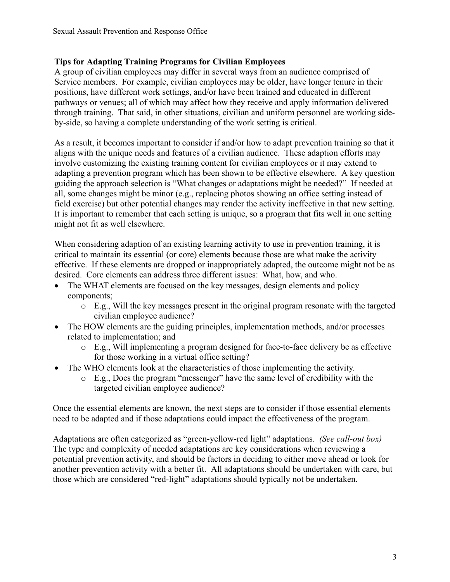## **Tips for Adapting Training Programs for Civilian Employees**

A group of civilian employees may differ in several ways from an audience comprised of Service members. For example, civilian employees may be older, have longer tenure in their positions, have different work settings, and/or have been trained and educated in different pathways or venues; all of which may affect how they receive and apply information delivered through training. That said, in other situations, civilian and uniform personnel are working sideby-side, so having a complete understanding of the work setting is critical.

As a result, it becomes important to consider if and/or how to adapt prevention training so that it aligns with the unique needs and features of a civilian audience. These adaption efforts may involve customizing the existing training content for civilian employees or it may extend to adapting a prevention program which has been shown to be effective elsewhere. A key question guiding the approach selection is "What changes or adaptations might be needed?" If needed at all, some changes might be minor (e.g., replacing photos showing an office setting instead of field exercise) but other potential changes may render the activity ineffective in that new setting. It is important to remember that each setting is unique, so a program that fits well in one setting might not fit as well elsewhere.

When considering adaption of an existing learning activity to use in prevention training, it is critical to maintain its essential (or core) elements because those are what make the activity effective. If these elements are dropped or inappropriately adapted, the outcome might not be as desired. Core elements can address three different issues: What, how, and who.

- The WHAT elements are focused on the key messages, design elements and policy components;
	- o E.g., Will the key messages present in the original program resonate with the targeted civilian employee audience?
- The HOW elements are the guiding principles, implementation methods, and/or processes related to implementation; and
	- o E.g., Will implementing a program designed for face-to-face delivery be as effective for those working in a virtual office setting?
- The WHO elements look at the characteristics of those implementing the activity.
	- o E.g., Does the program "messenger" have the same level of credibility with the targeted civilian employee audience?

Once the essential elements are known, the next steps are to consider if those essential elements need to be adapted and if those adaptations could impact the effectiveness of the program.

Adaptations are often categorized as "green-yellow-red light" adaptations. *(See call-out box)* The type and complexity of needed adaptations are key considerations when reviewing a potential prevention activity, and should be factors in deciding to either move ahead or look for another prevention activity with a better fit. All adaptations should be undertaken with care, but those which are considered "red-light" adaptations should typically not be undertaken.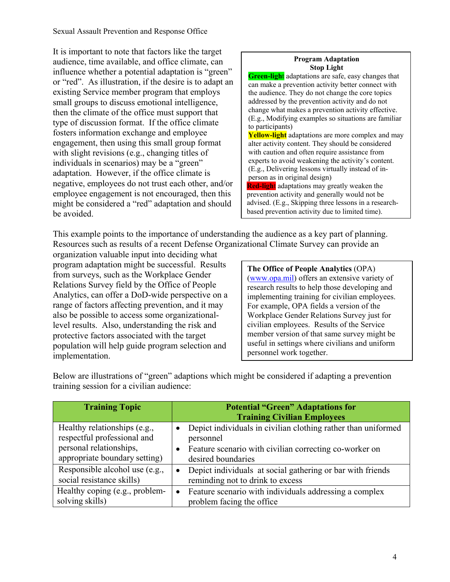Sexual Assault Prevention and Response Office

It is important to note that factors like the target audience, time available, and office climate, can influence whether a potential adaptation is "green" or "red". As illustration, if the desire is to adapt an existing Service member program that employs small groups to discuss emotional intelligence, then the climate of the office must support that type of discussion format. If the office climate fosters information exchange and employee engagement, then using this small group format with slight revisions (e.g., changing titles of individuals in scenarios) may be a "green" adaptation. However, if the office climate is negative, employees do not trust each other, and/or employee engagement is not encouraged, then this might be considered a "red" adaptation and should be avoided.

#### **Program Adaptation Stop Light**

**Green-light** adaptations are safe, easy changes that can make a prevention activity better connect with the audience. They do not change the core topics addressed by the prevention activity and do not change what makes a prevention activity effective. (E.g., Modifying examples so situations are familiar to participants) **Yellow-light** adaptations are more complex and may alter activity content. They should be considered with caution and often require assistance from experts to avoid weakening the activity's content.

(E.g., Delivering lessons virtually instead of inperson as in original design) **Red-ligh**t adaptations may greatly weaken the

prevention activity and generally would not be advised. (E.g., Skipping three lessons in a researchbased prevention activity due to limited time).

This example points to the importance of understanding the audience as a key part of planning. Resources such as results of a recent Defense Organizational Climate Survey can provide an

organization valuable input into deciding what program adaptation might be successful. Results from surveys, such as the Workplace Gender Relations Survey field by the Office of People Analytics, can offer a DoD-wide perspective on a range of factors affecting prevention, and it may also be possible to access some organizationallevel results. Also, understanding the risk and protective factors associated with the target population will help guide program selection and implementation.

**The Office of People Analytics** (OPA) [\(www.opa.mil\)](http://www.opa.mil/) offers an extensive variety of research results to help those developing and implementing training for civilian employees. For example, OPA fields a version of the Workplace Gender Relations Survey just for civilian employees. Results of the Service member version of that same survey might be useful in settings where civilians and uniform personnel work together.

| <b>Training Topic</b>                                                                                                   | <b>Potential "Green" Adaptations for</b><br><b>Training Civilian Employees</b>                                                                                               |
|-------------------------------------------------------------------------------------------------------------------------|------------------------------------------------------------------------------------------------------------------------------------------------------------------------------|
| Healthy relationships (e.g.,<br>respectful professional and<br>personal relationships,<br>appropriate boundary setting) | Depict individuals in civilian clothing rather than uniformed<br>$\bullet$<br>personnel<br>Feature scenario with civilian correcting co-worker on<br>٠<br>desired boundaries |
| Responsible alcohol use (e.g.,<br>social resistance skills)                                                             | Depict individuals at social gathering or bar with friends<br>$\bullet$<br>reminding not to drink to excess                                                                  |
| Healthy coping (e.g., problem-<br>solving skills)                                                                       | Feature scenario with individuals addressing a complex<br>$\bullet$<br>problem facing the office                                                                             |

Below are illustrations of "green" adaptions which might be considered if adapting a prevention training session for a civilian audience: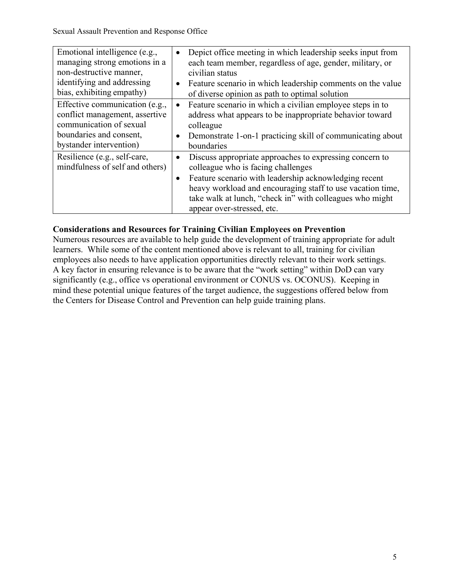| Emotional intelligence (e.g.,<br>managing strong emotions in a<br>non-destructive manner,<br>identifying and addressing<br>bias, exhibiting empathy) | Depict office meeting in which leadership seeks input from<br>$\bullet$<br>each team member, regardless of age, gender, military, or<br>civilian status<br>Feature scenario in which leadership comments on the value<br>$\bullet$<br>of diverse opinion as path to optimal solution                                                     |
|------------------------------------------------------------------------------------------------------------------------------------------------------|------------------------------------------------------------------------------------------------------------------------------------------------------------------------------------------------------------------------------------------------------------------------------------------------------------------------------------------|
| Effective communication (e.g.,<br>conflict management, assertive<br>communication of sexual<br>boundaries and consent,<br>bystander intervention)    | Feature scenario in which a civilian employee steps in to<br>$\bullet$<br>address what appears to be inappropriate behavior toward<br>colleague<br>Demonstrate 1-on-1 practicing skill of communicating about<br>boundaries                                                                                                              |
| Resilience (e.g., self-care,<br>mindfulness of self and others)                                                                                      | Discuss appropriate approaches to expressing concern to<br>$\bullet$<br>colleague who is facing challenges<br>Feature scenario with leadership acknowledging recent<br>$\bullet$<br>heavy workload and encouraging staff to use vacation time,<br>take walk at lunch, "check in" with colleagues who might<br>appear over-stressed, etc. |

## **Considerations and Resources for Training Civilian Employees on Prevention**

Numerous resources are available to help guide the development of training appropriate for adult learners. While some of the content mentioned above is relevant to all, training for civilian employees also needs to have application opportunities directly relevant to their work settings. A key factor in ensuring relevance is to be aware that the "work setting" within DoD can vary significantly (e.g., office vs operational environment or CONUS vs. OCONUS). Keeping in mind these potential unique features of the target audience, the suggestions offered below from the Centers for Disease Control and Prevention can help guide training plans.